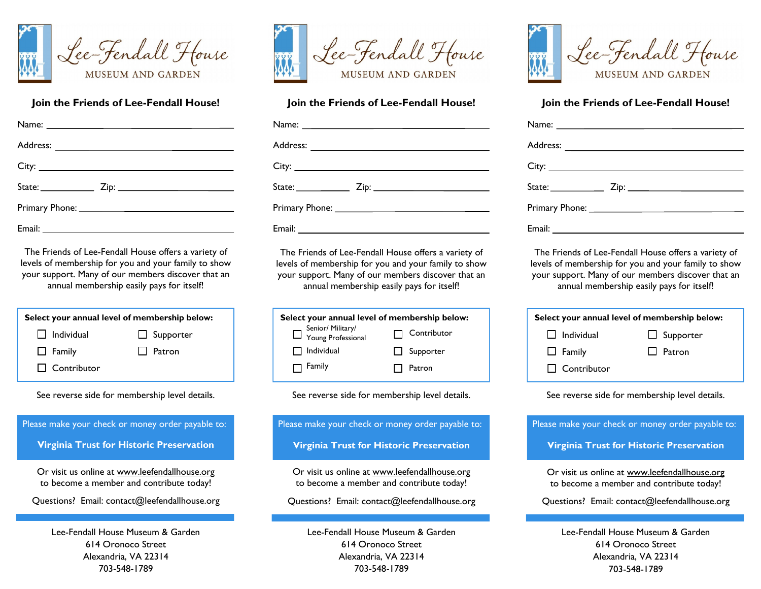

## **Join the Friends of Lee-Fendall House!**

The Friends of Lee-Fendall House offers a variety of levels of membership for you and your family to show your support. Many of our members discover that an annual membership easily pays for itself!

| Select your annual level of membership below: |                  |  |  |
|-----------------------------------------------|------------------|--|--|
| Senior/Military/<br>Troung Professional       | Contributor      |  |  |
| $\Box$ Individual                             | $\Box$ Supporter |  |  |
| $\Box$ Family                                 | Patron           |  |  |

See reverse side for membership level details.



703-548-1789